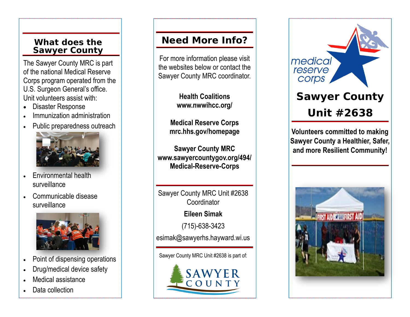# **Sawyer County**

The Sawyer County MRC is part of the national Medical Reserve Corps program operated from the U.S. Surgeon General's office. Unit volunteers assist with:

- Disaster Response
- Immunization administration
- Public preparedness outreach



- Environmental health surveillance
- Communicable disease surveillance



- Point of dispensing operations
- Drug/medical device safety
- Medical assistance
- Data collection

# **What does the Need More Info?**

For more information please visit the websites below or contact the Sawyer County MRC coordinator.

> **Health Coalitions www.nwwihcc.org/**

**Medical Reserve Corps mrc.hhs.gov/homepage** 

**Sawyer County MRC www.sawyercountygov.org/494/ Medical -Reserve -Corps** 

Sawyer County MRC Unit #2638 **Coordinator Eileen Simak** (715) -638 -3423 esimak@sawyerhs.hayward.wi.us

Sawyer County MRC Unit #2638 is part of:





**Volunteers committed to making Sawyer County a Healthier, Safer, and more Resilient Community!**